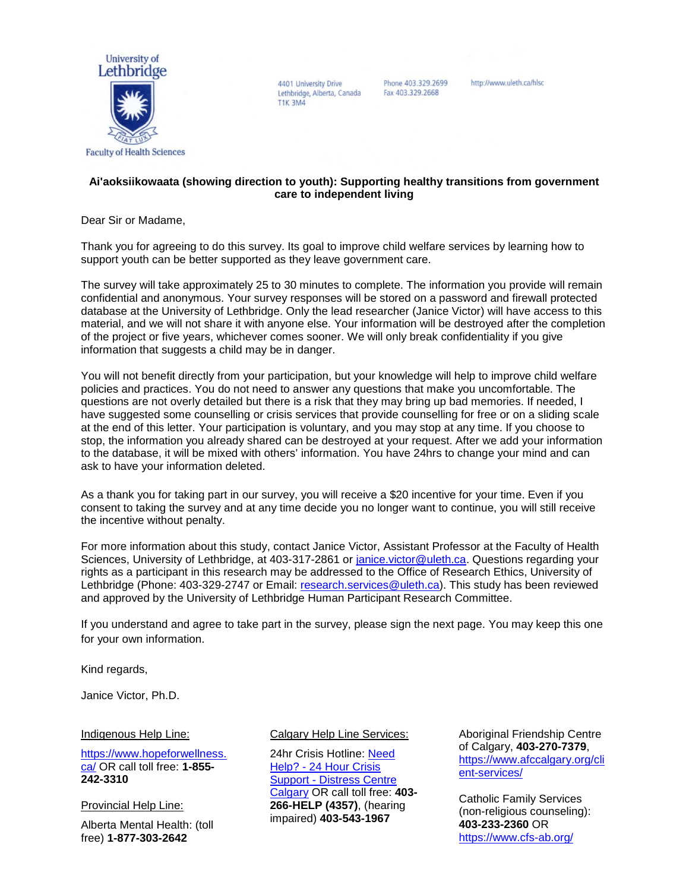

4401 University Drive Lethbridge, Alberta, Canada **T1K 3M4** 

Phone 403.329.2699 Fax 403.329.2668

http://www.uleth.ca/hlsc

### **Ai'aoksiikowaata (showing direction to youth): Supporting healthy transitions from government care to independent living**

Dear Sir or Madame,

Thank you for agreeing to do this survey. Its goal to improve child welfare services by learning how to support youth can be better supported as they leave government care.

The survey will take approximately 25 to 30 minutes to complete. The information you provide will remain confidential and anonymous. Your survey responses will be stored on a password and firewall protected database at the University of Lethbridge. Only the lead researcher (Janice Victor) will have access to this material, and we will not share it with anyone else. Your information will be destroyed after the completion of the project or five years, whichever comes sooner. We will only break confidentiality if you give information that suggests a child may be in danger.

You will not benefit directly from your participation, but your knowledge will help to improve child welfare policies and practices. You do not need to answer any questions that make you uncomfortable. The questions are not overly detailed but there is a risk that they may bring up bad memories. If needed, I have suggested some counselling or crisis services that provide counselling for free or on a sliding scale at the end of this letter. Your participation is voluntary, and you may stop at any time. If you choose to stop, the information you already shared can be destroyed at your request. After we add your information to the database, it will be mixed with others' information. You have 24hrs to change your mind and can ask to have your information deleted.

As a thank you for taking part in our survey, you will receive a \$20 incentive for your time. Even if you consent to taking the survey and at any time decide you no longer want to continue, you will still receive the incentive without penalty.

For more information about this study, contact Janice Victor, Assistant Professor at the Faculty of Health Sciences, University of Lethbridge, at 403-317-2861 or [janice.victor@uleth.ca.](mailto:janice.victor@uleth.ca) Questions regarding your rights as a participant in this research may be addressed to the Office of Research Ethics, University of Lethbridge (Phone: 403-329-2747 or Email: [research.services@uleth.ca\)](mailto:research.services@uleth.ca). This study has been reviewed and approved by the University of Lethbridge Human Participant Research Committee.

If you understand and agree to take part in the survey, please sign the next page. You may keep this one for your own information.

Kind regards,

Janice Victor, Ph.D.

#### Indigenous Help Line:

[https://www.hopeforwellness.](https://www.hopeforwellness.ca/) [ca/](https://www.hopeforwellness.ca/) OR call toll free: **1-855- 242-3310**

Provincial Help Line:

Alberta Mental Health: (toll free) **1-877-303-2642**

#### Calgary Help Line Services:

24hr Crisis Hotline: [Need](https://www.distresscentre.com/need-help/)  Help? - [24 Hour Crisis](https://www.distresscentre.com/need-help/)  Support - [Distress Centre](https://www.distresscentre.com/need-help/)  [Calgary](https://www.distresscentre.com/need-help/) OR call toll free: **403- 266-HELP (4357)**, (hearing impaired) **403-543-1967**

Aboriginal Friendship Centre of Calgary, **403-270-7379**, [https://www.afccalgary.org/cli](https://www.afccalgary.org/client-services/) [ent-services/](https://www.afccalgary.org/client-services/)

Catholic Family Services (non-religious counseling): **403-233-2360** OR <https://www.cfs-ab.org/>